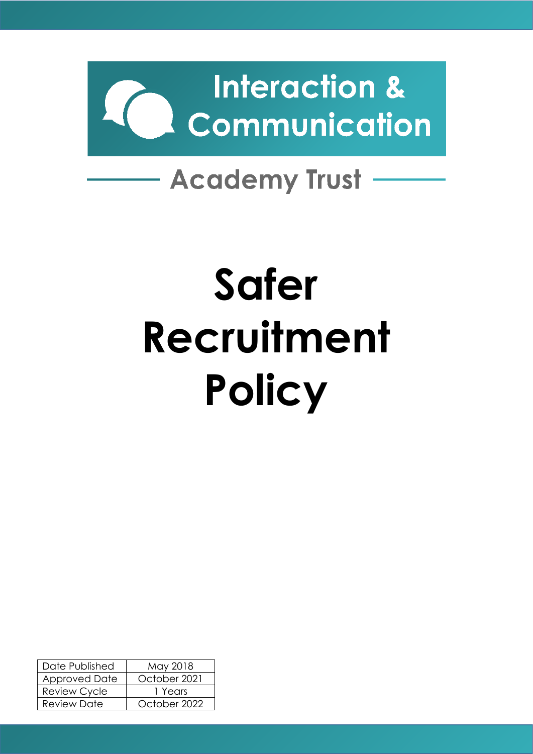

# **Safer Recruitment Policy**

| Date Published       | May 2018     |  |  |
|----------------------|--------------|--|--|
| <b>Approved Date</b> | October 2021 |  |  |
| <b>Review Cycle</b>  | 1 Years      |  |  |
| <b>Review Date</b>   | October 2022 |  |  |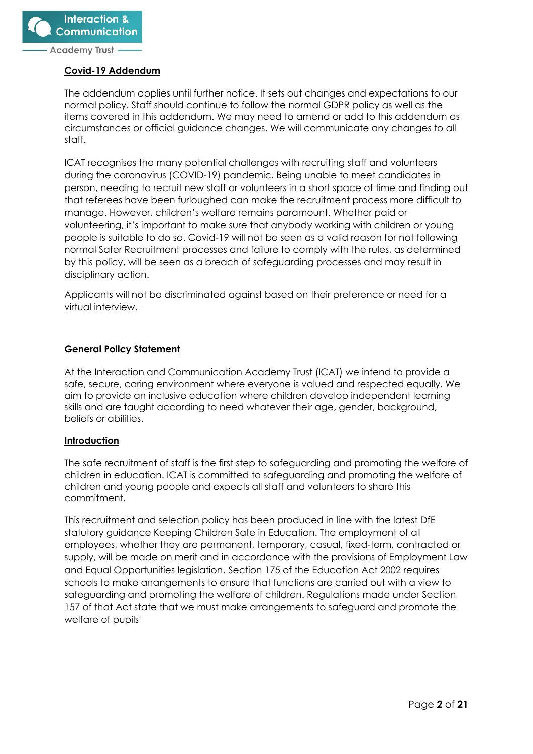

#### **Covid-19 Addendum**

The addendum applies until further notice. It sets out changes and expectations to our normal policy. Staff should continue to follow the normal GDPR policy as well as the items covered in this addendum. We may need to amend or add to this addendum as circumstances or official guidance changes. We will communicate any changes to all staff.

ICAT recognises the many potential challenges with recruiting staff and volunteers during the coronavirus (COVID-19) pandemic. Being unable to meet candidates in person, needing to recruit new staff or volunteers in a short space of time and finding out that referees have been furloughed can make the recruitment process more difficult to manage. However, children's welfare remains paramount. Whether paid or volunteering, it's important to make sure that anybody working with children or young people is suitable to do so. Covid-19 will not be seen as a valid reason for not following normal Safer Recruitment processes and failure to comply with the rules, as determined by this policy, will be seen as a breach of safeguarding processes and may result in disciplinary action.

Applicants will not be discriminated against based on their preference or need for a virtual interview.

# **General Policy Statement**

At the Interaction and Communication Academy Trust (ICAT) we intend to provide a safe, secure, caring environment where everyone is valued and respected equally. We aim to provide an inclusive education where children develop independent learning skills and are taught according to need whatever their age, gender, background, beliefs or abilities.

#### **Introduction**

The safe recruitment of staff is the first step to safeguarding and promoting the welfare of children in education. ICAT is committed to safeguarding and promoting the welfare of children and young people and expects all staff and volunteers to share this commitment.

This recruitment and selection policy has been produced in line with the latest DfE statutory guidance Keeping Children Safe in Education. The employment of all employees, whether they are permanent, temporary, casual, fixed-term, contracted or supply, will be made on merit and in accordance with the provisions of Employment Law and Equal Opportunities legislation. Section 175 of the Education Act 2002 requires schools to make arrangements to ensure that functions are carried out with a view to safeguarding and promoting the welfare of children. Regulations made under Section 157 of that Act state that we must make arrangements to safeguard and promote the welfare of pupils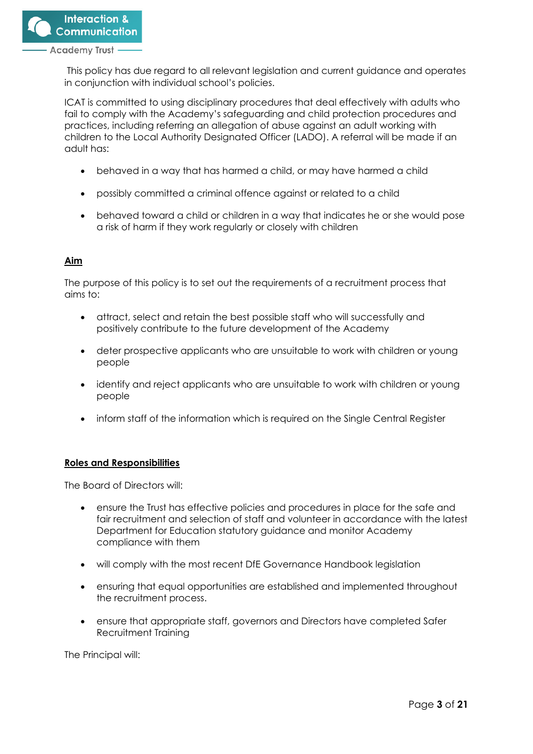

This policy has due regard to all relevant legislation and current guidance and operates in conjunction with individual school's policies.

ICAT is committed to using disciplinary procedures that deal effectively with adults who fail to comply with the Academy's safeguarding and child protection procedures and practices, including referring an allegation of abuse against an adult working with children to the Local Authority Designated Officer (LADO). A referral will be made if an adult has:

- behaved in a way that has harmed a child, or may have harmed a child
- possibly committed a criminal offence against or related to a child
- behaved toward a child or children in a way that indicates he or she would pose a risk of harm if they work regularly or closely with children

# **Aim**

The purpose of this policy is to set out the requirements of a recruitment process that aims to:

- attract, select and retain the best possible staff who will successfully and positively contribute to the future development of the Academy
- deter prospective applicants who are unsuitable to work with children or young people
- identify and reject applicants who are unsuitable to work with children or young people
- inform staff of the information which is required on the Single Central Register

#### **Roles and Responsibilities**

The Board of Directors will:

- ensure the Trust has effective policies and procedures in place for the safe and fair recruitment and selection of staff and volunteer in accordance with the latest Department for Education statutory guidance and monitor Academy compliance with them
- will comply with the most recent DfE Governance Handbook legislation
- ensuring that equal opportunities are established and implemented throughout the recruitment process.
- ensure that appropriate staff, governors and Directors have completed Safer Recruitment Training

The Principal will: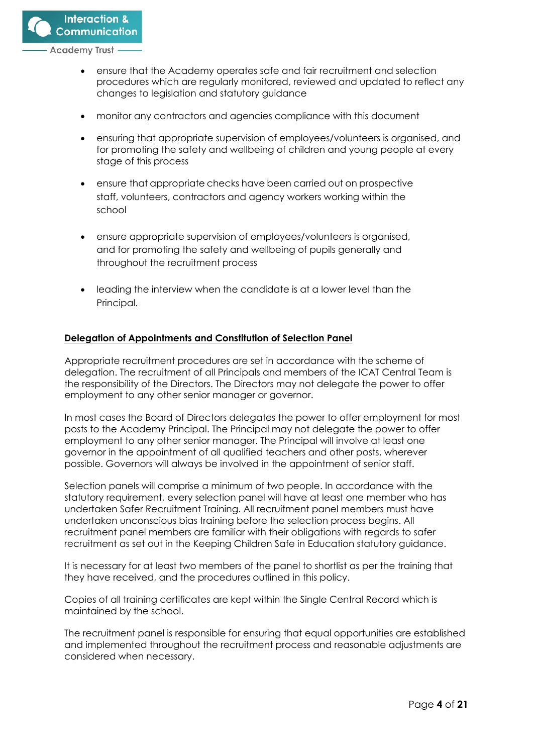

- ensure that the Academy operates safe and fair recruitment and selection procedures which are regularly monitored, reviewed and updated to reflect any changes to legislation and statutory guidance
- monitor any contractors and agencies compliance with this document
- ensuring that appropriate supervision of employees/volunteers is organised, and for promoting the safety and wellbeing of children and young people at every stage of this process
- ensure that appropriate checks have been carried out on prospective staff, volunteers, contractors and agency workers working within the school
- ensure appropriate supervision of employees/volunteers is organised, and for promoting the safety and wellbeing of pupils generally and throughout the recruitment process
- leading the interview when the candidate is at a lower level than the Principal.

#### **Delegation of Appointments and Constitution of Selection Panel**

Appropriate recruitment procedures are set in accordance with the scheme of delegation. The recruitment of all Principals and members of the ICAT Central Team is the responsibility of the Directors. The Directors may not delegate the power to offer employment to any other senior manager or governor.

In most cases the Board of Directors delegates the power to offer employment for most posts to the Academy Principal. The Principal may not delegate the power to offer employment to any other senior manager. The Principal will involve at least one governor in the appointment of all qualified teachers and other posts, wherever possible. Governors will always be involved in the appointment of senior staff.

Selection panels will comprise a minimum of two people. In accordance with the statutory requirement, every selection panel will have at least one member who has undertaken Safer Recruitment Training. All recruitment panel members must have undertaken unconscious bias training before the selection process begins. All recruitment panel members are familiar with their obligations with regards to safer recruitment as set out in the Keeping Children Safe in Education statutory guidance.

It is necessary for at least two members of the panel to shortlist as per the training that they have received, and the procedures outlined in this policy.

Copies of all training certificates are kept within the Single Central Record which is maintained by the school.

The recruitment panel is responsible for ensuring that equal opportunities are established and implemented throughout the recruitment process and reasonable adjustments are considered when necessary.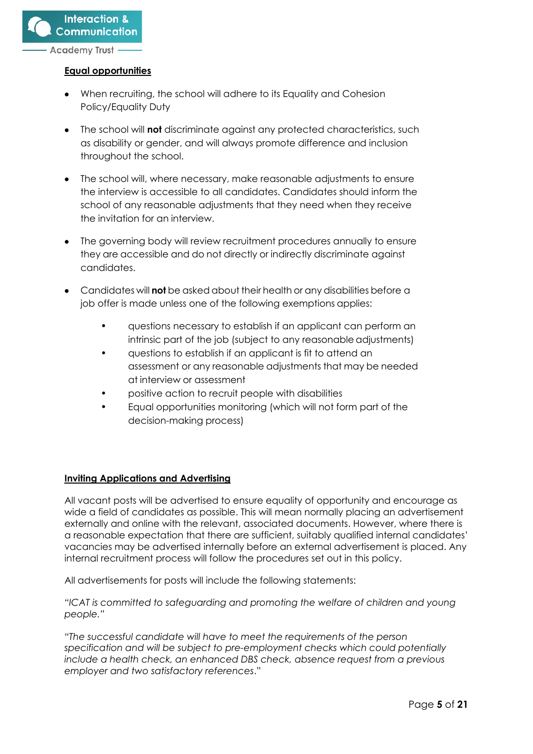

#### **Equal opportunities**

- When recruiting, the school will adhere to its Equality and Cohesion Policy/Equality Duty
- The school will **not** discriminate against any protected characteristics, such as disability or gender, and will always promote difference and inclusion throughout the school.
- The school will, where necessary, make reasonable adjustments to ensure the interview is accessible to all candidates. Candidates should inform the school of any reasonable adjustments that they need when they receive the invitation for an interview.
- The governing body will review recruitment procedures annually to ensure they are accessible and do not directly or indirectly discriminate against candidates.
- Candidates will **not** be asked about their health or any disabilities before a job offer is made unless one of the following exemptions applies:
	- questions necessary to establish if an applicant can perform an intrinsic part of the job (subject to any reasonable adjustments)
	- questions to establish if an applicant is fit to attend an assessment or any reasonable adjustments that may be needed at interview or assessment
	- positive action to recruit people with disabilities
	- Equal opportunities monitoring (which will not form part of the decision-making process)

# **Inviting Applications and Advertising**

All vacant posts will be advertised to ensure equality of opportunity and encourage as wide a field of candidates as possible. This will mean normally placing an advertisement externally and online with the relevant, associated documents. However, where there is a reasonable expectation that there are sufficient, suitably qualified internal candidates' vacancies may be advertised internally before an external advertisement is placed. Any internal recruitment process will follow the procedures set out in this policy.

All advertisements for posts will include the following statements:

*"ICAT is committed to safeguarding and promoting the welfare of children and young people."*

*"The successful candidate will have to meet the requirements of the person specification and will be subject to pre-employment checks which could potentially include a health check, an enhanced DBS check, absence request from a previous employer and two satisfactory references*."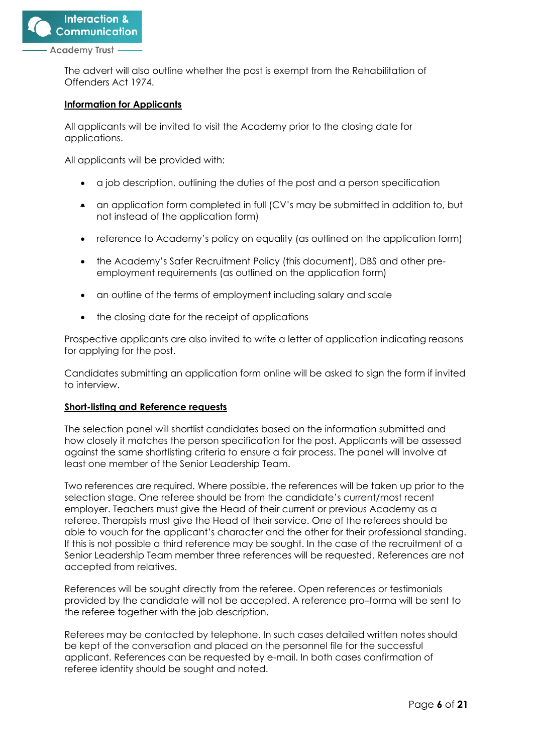

The advert will also outline whether the post is exempt from the Rehabilitation of Offenders Act 1974.

#### **Information for Applicants**

All applicants will be invited to visit the Academy prior to the closing date for applications.

All applicants will be provided with:

- a job description, outlining the duties of the post and a person specification
- an application form completed in full (CV's may be submitted in addition to, but not instead of the application form)
- reference to Academy's policy on equality (as outlined on the application form)
- the Academy's Safer Recruitment Policy (this document), DBS and other preemployment requirements (as outlined on the application form)
- an outline of the terms of employment including salary and scale
- the closing date for the receipt of applications

Prospective applicants are also invited to write a letter of application indicating reasons for applying for the post.

Candidates submitting an application form online will be asked to sign the form if invited to interview.

#### **Short-listing and Reference requests**

The selection panel will shortlist candidates based on the information submitted and how closely it matches the person specification for the post. Applicants will be assessed against the same shortlisting criteria to ensure a fair process. The panel will involve at least one member of the Senior Leadership Team.

Two references are required. Where possible, the references will be taken up prior to the selection stage. One referee should be from the candidate's current/most recent employer. Teachers must give the Head of their current or previous Academy as a referee. Therapists must give the Head of their service. One of the referees should be able to vouch for the applicant's character and the other for their professional standing. If this is not possible a third reference may be sought. In the case of the recruitment of a Senior Leadership Team member three references will be requested. References are not accepted from relatives.

References will be sought directly from the referee. Open references or testimonials provided by the candidate will not be accepted. A reference pro–forma will be sent to the referee together with the job description.

Referees may be contacted by telephone. In such cases detailed written notes should be kept of the conversation and placed on the personnel file for the successful applicant. References can be requested by e-mail. In both cases confirmation of referee identity should be sought and noted.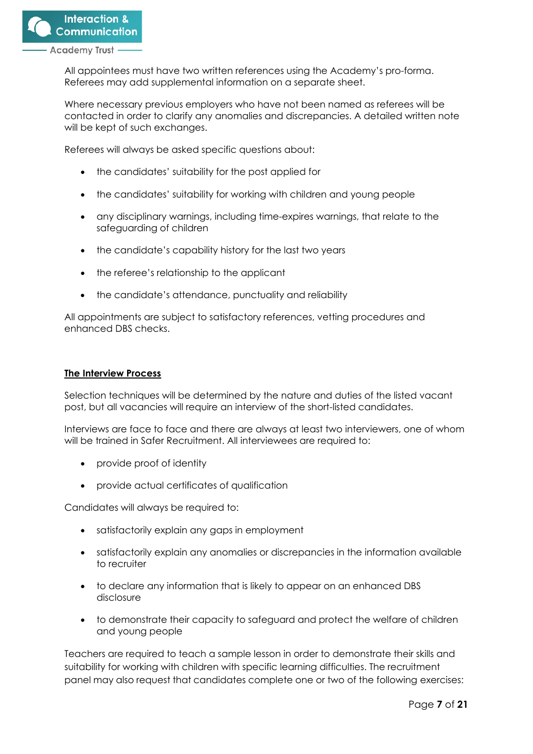All appointees must have two written references using the Academy's pro-forma. Referees may add supplemental information on a separate sheet.

Where necessary previous employers who have not been named as referees will be contacted in order to clarify any anomalies and discrepancies. A detailed written note will be kept of such exchanges.

Referees will always be asked specific questions about:

- the candidates' suitability for the post applied for
- the candidates' suitability for working with children and young people
- any disciplinary warnings, including time-expires warnings, that relate to the safeguarding of children
- the candidate's capability history for the last two years
- the referee's relationship to the applicant
- the candidate's attendance, punctuality and reliability

All appointments are subject to satisfactory references, vetting procedures and enhanced DBS checks.

#### **The Interview Process**

Selection techniques will be determined by the nature and duties of the listed vacant post, but all vacancies will require an interview of the short-listed candidates.

Interviews are face to face and there are always at least two interviewers, one of whom will be trained in Safer Recruitment. All interviewees are required to:

- provide proof of identity
- provide actual certificates of qualification

Candidates will always be required to:

- satisfactorily explain any gaps in employment
- satisfactorily explain any anomalies or discrepancies in the information available to recruiter
- to declare any information that is likely to appear on an enhanced DBS disclosure
- to demonstrate their capacity to safeguard and protect the welfare of children and young people

Teachers are required to teach a sample lesson in order to demonstrate their skills and suitability for working with children with specific learning difficulties. The recruitment panel may also request that candidates complete one or two of the following exercises: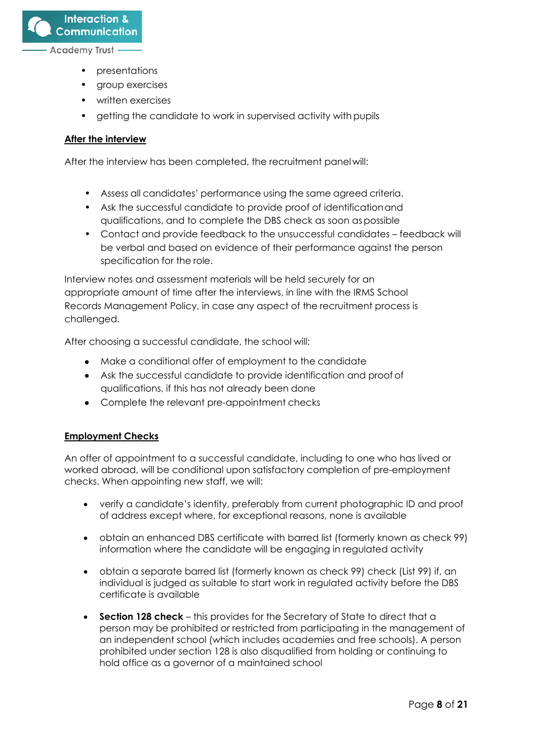**Interaction & Communication** 

Academy Trust

- presentations
- group exercises
- written exercises
- getting the candidate to work in supervised activity with pupils

# **After the interview**

After the interview has been completed, the recruitment panel will:

- **•** Assess all candidates' performance using the same agreed criteria.
- **•** Ask the successful candidate to provide proof of identificationand qualifications, and to complete the DBS check as soon aspossible
- **•** Contact and provide feedback to the unsuccessful candidates feedback will be verbal and based on evidence of their performance against the person specification for the role.

Interview notes and assessment materials will be held securely for an appropriate amount of time after the interviews, in line with the IRMS School Records Management Policy, in case any aspect of the recruitment process is challenged.

After choosing a successful candidate, the school will:

- Make a conditional offer of employment to the candidate
- Ask the successful candidate to provide identification and proof of qualifications, if this has not already been done
- Complete the relevant pre-appointment checks

# **Employment Checks**

An offer of appointment to a successful candidate, including to one who has lived or worked abroad, will be conditional upon satisfactory completion of pre-employment checks. When appointing new staff, we will:

- verify a candidate's identity, preferably from current photographic ID and proof of address except where, for exceptional reasons, none is available
- obtain an enhanced DBS certificate with barred list (formerly known as check 99) information where the candidate will be engaging in regulated activity
- obtain a separate barred list (formerly known as check 99) check (List 99) if, an individual is judged as suitable to start work in regulated activity before the DBS certificate is available
- **Section 128 check**  this provides for the Secretary of State to direct that a person may be prohibited or restricted from participating in the management of an independent school (which includes academies and free schools). A person prohibited under section 128 is also disqualified from holding or continuing to hold office as a governor of a maintained school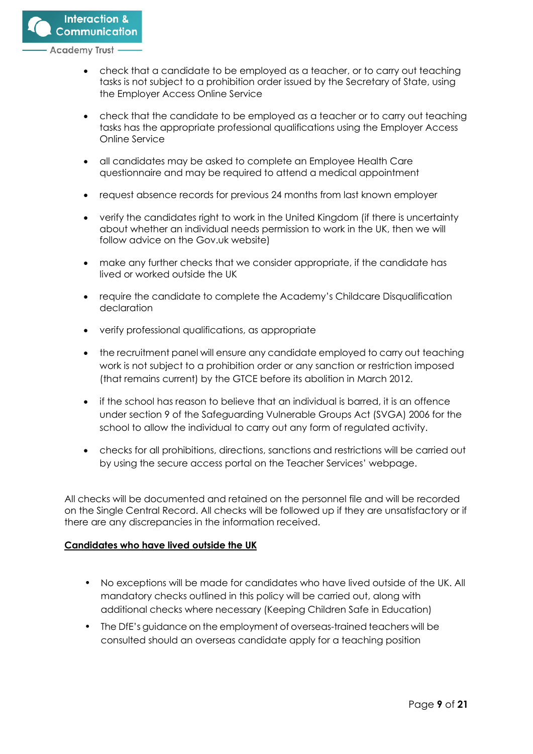

- check that a candidate to be employed as a teacher, or to carry out teaching tasks is not subject to a prohibition order issued by the Secretary of State, using the Employer Access Online Service
- check that the candidate to be employed as a teacher or to carry out teaching tasks has the appropriate professional qualifications using the Employer Access Online Service
- all candidates may be asked to complete an Employee Health Care questionnaire and may be required to attend a medical appointment
- request absence records for previous 24 months from last known employer
- verify the candidates right to work in the United Kingdom (if there is uncertainty about whether an individual needs permission to work in the UK, then we will follow advice on the Gov.uk website)
- make any further checks that we consider appropriate, if the candidate has lived or worked outside the UK
- require the candidate to complete the Academy's Childcare Disqualification declaration
- verify professional qualifications, as appropriate
- the recruitment panel will ensure any candidate employed to carry out teaching work is not subject to a prohibition order or any sanction or restriction imposed (that remains current) by the GTCE before its abolition in March 2012.
- if the school has reason to believe that an individual is barred, it is an offence under section 9 of the Safeguarding Vulnerable Groups Act (SVGA) 2006 for the school to allow the individual to carry out any form of regulated activity.
- checks for all prohibitions, directions, sanctions and restrictions will be carried out by using the secure access portal on the Teacher Services' webpage.

All checks will be documented and retained on the personnel file and will be recorded on the Single Central Record. All checks will be followed up if they are unsatisfactory or if there are any discrepancies in the information received.

# **Candidates who have lived outside the UK**

- No exceptions will be made for candidates who have lived outside of the UK. All mandatory checks outlined in this policy will be carried out, along with additional checks where necessary (Keeping Children Safe in Education)
- The DfE's guidance on the employment of overseas-trained teachers will be consulted should an overseas candidate apply for a teaching position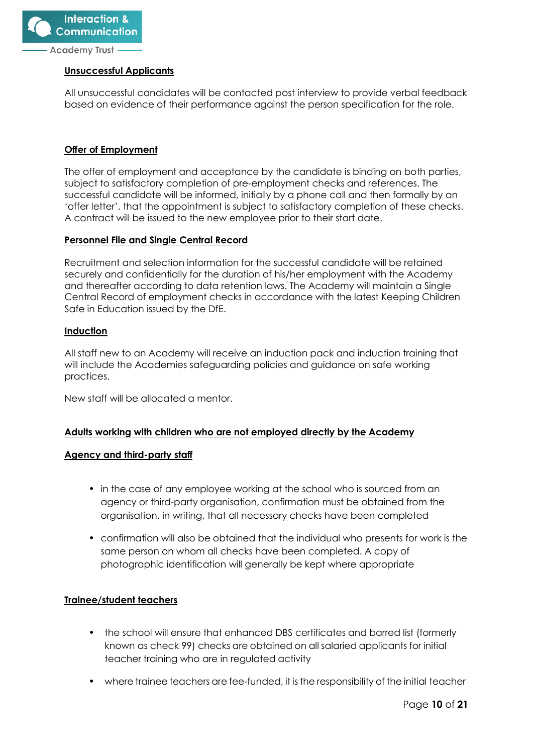

## **Unsuccessful Applicants**

All unsuccessful candidates will be contacted post interview to provide verbal feedback based on evidence of their performance against the person specification for the role.

# **Offer of Employment**

The offer of employment and acceptance by the candidate is binding on both parties, subject to satisfactory completion of pre-employment checks and references. The successful candidate will be informed, initially by a phone call and then formally by an 'offer letter', that the appointment is subject to satisfactory completion of these checks. A contract will be issued to the new employee prior to their start date.

#### **Personnel File and Single Central Record**

Recruitment and selection information for the successful candidate will be retained securely and confidentially for the duration of his/her employment with the Academy and thereafter according to data retention laws. The Academy will maintain a Single Central Record of employment checks in accordance with the latest Keeping Children Safe in Education issued by the DfE.

#### **Induction**

All staff new to an Academy will receive an induction pack and induction training that will include the Academies safeguarding policies and guidance on safe working practices.

New staff will be allocated a mentor.

# **Adults working with children who are not employed directly by the Academy**

#### **Agency and third-party staff**

- in the case of any employee working at the school who is sourced from an agency or third-party organisation, confirmation must be obtained from the organisation, in writing, that all necessary checks have been completed
- confirmation will also be obtained that the individual who presents for work is the same person on whom all checks have been completed. A copy of photographic identification will generally be kept where appropriate

# **Trainee/student teachers**

- **•** the school will ensure that enhanced DBS certificates and barred list (formerly known as check 99) checks are obtained on all salaried applicants for initial teacher training who are in regulated activity
- **•** where trainee teachers are fee-funded, it is the responsibility of the initial teacher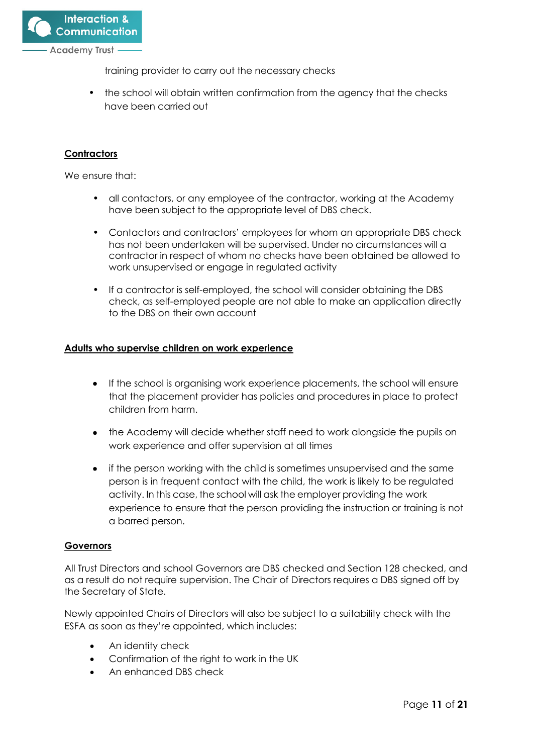

training provider to carry out the necessary checks

**•** the school will obtain written confirmation from the agency that the checks have been carried out

## **Contractors**

We ensure that:

- **•** all contactors, or any employee of the contractor, working at the Academy have been subject to the appropriate level of DBS check.
- **•** Contactors and contractors' employees for whom an appropriate DBS check has not been undertaken will be supervised. Under no circumstances will a contractor in respect of whom no checks have been obtained be allowed to work unsupervised or engage in regulated activity
- **•** If a contractor is self-employed, the school will consider obtaining the DBS check, as self-employed people are not able to make an application directly to the DBS on their own account

### **Adults who supervise children on work experience**

- If the school is organising work experience placements, the school will ensure that the placement provider has policies and procedures in place to protect children from harm.
- the Academy will decide whether staff need to work alongside the pupils on work experience and offer supervision at all times
- if the person working with the child is sometimes unsupervised and the same person is in frequent contact with the child, the work is likely to be regulated activity. In this case, the school will ask the employer providing the work experience to ensure that the person providing the instruction or training is not a barred person.

#### **Governors**

All Trust Directors and school Governors are DBS checked and Section 128 checked, and as a result do not require supervision. The Chair of Directors requires a DBS signed off by the Secretary of State.

Newly appointed Chairs of Directors will also be subject to a suitability check with the ESFA as soon as they're appointed, which includes:

- An identity check
- Confirmation of the right to work in the UK
- An enhanced DBS check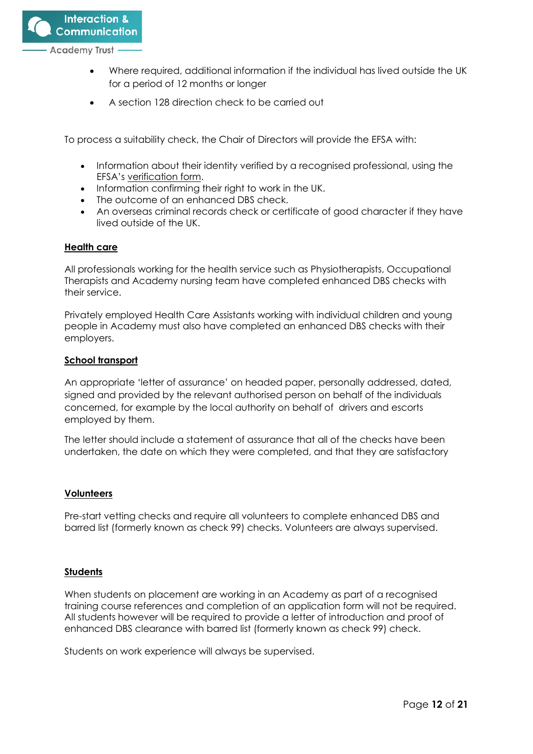

- Where required, additional information if the individual has lived outside the UK for a period of 12 months or longer
- A section 128 direction check to be carried out

To process a suitability check, the Chair of Directors will provide the EFSA with:

- Information about their identity verified by a recognised professional, using the EFSA's [verification form.](https://www.gov.uk/government/publications/academy-trust-chair-suitability-checks/academy-trust-chair-suitability-checks-guidance-for-applicants)
- Information confirming their right to work in the UK.
- The outcome of an enhanced DBS check.
- An overseas criminal records check or certificate of good character if they have lived outside of the UK.

### **Health care**

All professionals working for the health service such as Physiotherapists, Occupational Therapists and Academy nursing team have completed enhanced DBS checks with their service.

Privately employed Health Care Assistants working with individual children and young people in Academy must also have completed an enhanced DBS checks with their employers.

### **School transport**

An appropriate 'letter of assurance' on headed paper, personally addressed, dated, signed and provided by the relevant authorised person on behalf of the individuals concerned, for example by the local authority on behalf of drivers and escorts employed by them.

The letter should include a statement of assurance that all of the checks have been undertaken, the date on which they were completed, and that they are satisfactory

#### **Volunteers**

Pre-start vetting checks and require all volunteers to complete enhanced DBS and barred list (formerly known as check 99) checks. Volunteers are always supervised.

# **Students**

When students on placement are working in an Academy as part of a recognised training course references and completion of an application form will not be required. All students however will be required to provide a letter of introduction and proof of enhanced DBS clearance with barred list (formerly known as check 99) check.

Students on work experience will always be supervised.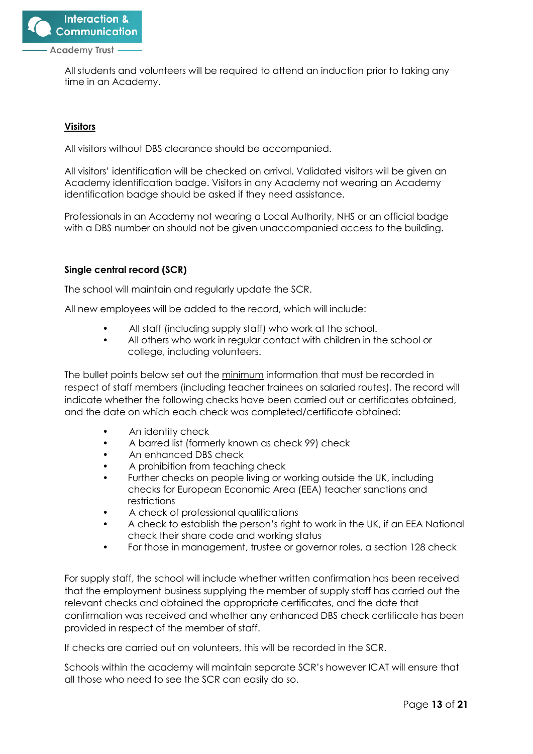

All students and volunteers will be required to attend an induction prior to taking any time in an Academy.

# **Visitors**

All visitors without DBS clearance should be accompanied.

All visitors' identification will be checked on arrival. Validated visitors will be given an Academy identification badge. Visitors in any Academy not wearing an Academy identification badge should be asked if they need assistance.

Professionals in an Academy not wearing a Local Authority, NHS or an official badge with a DBS number on should not be given unaccompanied access to the building.

# **Single central record (SCR)**

The school will maintain and regularly update the SCR.

All new employees will be added to the record, which will include:

- All staff (including supply staff) who work at the school.
- All others who work in regular contact with children in the school or college, including volunteers.

The bullet points below set out the minimum information that must be recorded in respect of staff members (including teacher trainees on salaried routes). The record will indicate whether the following checks have been carried out or certificates obtained, and the date on which each check was completed/certificate obtained:

- An identity check
- A barred list (formerly known as check 99) check
- An enhanced DBS check
- A prohibition from teaching check
- Further checks on people living or working outside the UK, including checks for European Economic Area (EEA) teacher sanctions and restrictions
- A check of professional qualifications
- A check to establish the person's right to work in the UK, if an EEA National check their share code and working status
- For those in management, trustee or governor roles, a section 128 check

For supply staff, the school will include whether written confirmation has been received that the employment business supplying the member of supply staff has carried out the relevant checks and obtained the appropriate certificates, and the date that confirmation was received and whether any enhanced DBS check certificate has been provided in respect of the member of staff.

If checks are carried out on volunteers, this will be recorded in the SCR.

Schools within the academy will maintain separate SCR's however ICAT will ensure that all those who need to see the SCR can easily do so.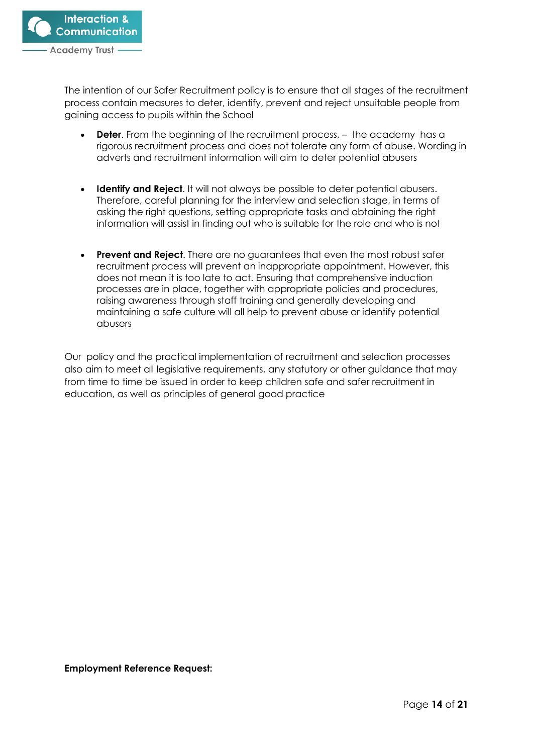

The intention of our Safer Recruitment policy is to ensure that all stages of the recruitment process contain measures to deter, identify, prevent and reject unsuitable people from gaining access to pupils within the School

- **Deter**. From the beginning of the recruitment process,  $-$  the academy has a rigorous recruitment process and does not tolerate any form of abuse. Wording in adverts and recruitment information will aim to deter potential abusers
- **Identify and Reject.** It will not always be possible to deter potential abusers. Therefore, careful planning for the interview and selection stage, in terms of asking the right questions, setting appropriate tasks and obtaining the right information will assist in finding out who is suitable for the role and who is not
- **Prevent and Reject**. There are no guarantees that even the most robust safer recruitment process will prevent an inappropriate appointment. However, this does not mean it is too late to act. Ensuring that comprehensive induction processes are in place, together with appropriate policies and procedures, raising awareness through staff training and generally developing and maintaining a safe culture will all help to prevent abuse or identify potential abusers

Our policy and the practical implementation of recruitment and selection processes also aim to meet all legislative requirements, any statutory or other guidance that may from time to time be issued in order to keep children safe and safer recruitment in education, as well as principles of general good practice

#### **Employment Reference Request:**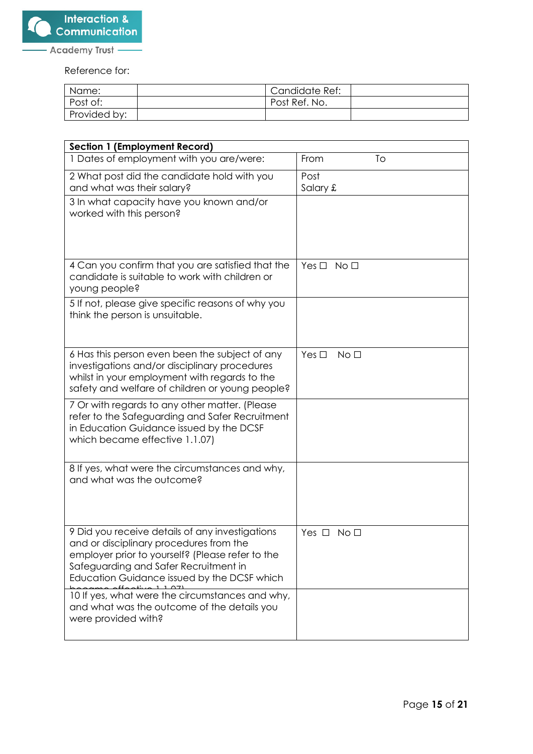

Reference for:

| Name:        | Candidate Ref: |
|--------------|----------------|
| Post of:     | Post Ref. No.  |
| Provided by: |                |

| <b>Section 1 (Employment Record)</b>                                                                                                                                                                                                   |                               |
|----------------------------------------------------------------------------------------------------------------------------------------------------------------------------------------------------------------------------------------|-------------------------------|
| 1 Dates of employment with you are/were:                                                                                                                                                                                               | To<br>From                    |
| 2 What post did the candidate hold with you                                                                                                                                                                                            | Post                          |
| and what was their salary?                                                                                                                                                                                                             | Salary £                      |
| 3 In what capacity have you known and/or<br>worked with this person?                                                                                                                                                                   |                               |
| 4 Can you confirm that you are satisfied that the<br>candidate is suitable to work with children or<br>young people?                                                                                                                   | Yes $\square$<br>No □         |
| 5 If not, please give specific reasons of why you<br>think the person is unsuitable.                                                                                                                                                   |                               |
| 6 Has this person even been the subject of any<br>investigations and/or disciplinary procedures<br>whilst in your employment with regards to the<br>safety and welfare of children or young people?                                    | Yes $\Box$<br>No <sub>1</sub> |
| 7 Or with regards to any other matter. (Please<br>refer to the Safeguarding and Safer Recruitment<br>in Education Guidance issued by the DCSF<br>which became effective 1.1.07)                                                        |                               |
| 8 If yes, what were the circumstances and why,<br>and what was the outcome?                                                                                                                                                            |                               |
| 9 Did you receive details of any investigations<br>and or disciplinary procedures from the<br>employer prior to yourself? (Please refer to the<br>Safeguarding and Safer Recruitment in<br>Education Guidance issued by the DCSF which | Yes $\Box$<br>No □            |
| 10 If yes, what were the circumstances and why,<br>and what was the outcome of the details you<br>were provided with?                                                                                                                  |                               |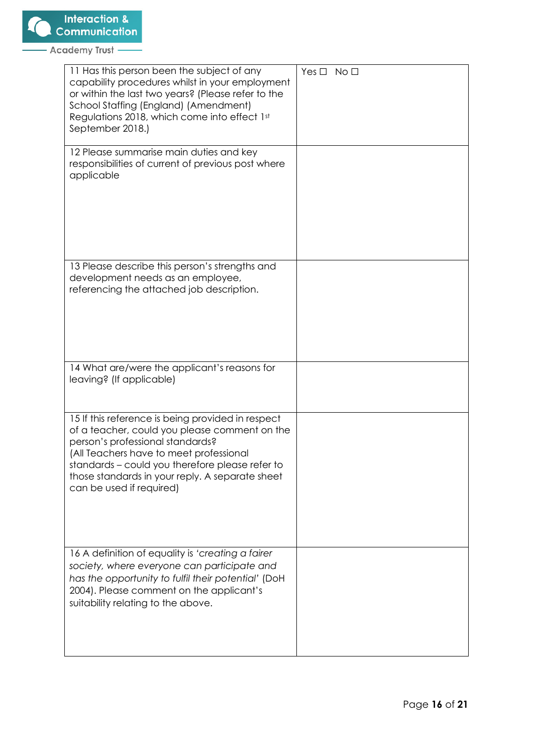| 11 Has this person been the subject of any<br>capability procedures whilst in your employment<br>or within the last two years? (Please refer to the<br>School Staffing (England) (Amendment)<br>Regulations 2018, which come into effect 1st<br>September 2018.)                                                    | $Yes \Box No \Box$ |
|---------------------------------------------------------------------------------------------------------------------------------------------------------------------------------------------------------------------------------------------------------------------------------------------------------------------|--------------------|
| 12 Please summarise main duties and key<br>responsibilities of current of previous post where<br>applicable                                                                                                                                                                                                         |                    |
| 13 Please describe this person's strengths and<br>development needs as an employee,<br>referencing the attached job description.                                                                                                                                                                                    |                    |
| 14 What are/were the applicant's reasons for<br>leaving? (If applicable)                                                                                                                                                                                                                                            |                    |
| 15 If this reference is being provided in respect<br>of a teacher, could you please comment on the<br>person's professional standards?<br>(All Teachers have to meet professional<br>standards - could you therefore please refer to<br>those standards in your reply. A separate sheet<br>can be used if required) |                    |
| 16 A definition of equality is 'creating a fairer<br>society, where everyone can participate and<br>has the opportunity to fulfil their potential' (DoH<br>2004). Please comment on the applicant's<br>suitability relating to the above.                                                                           |                    |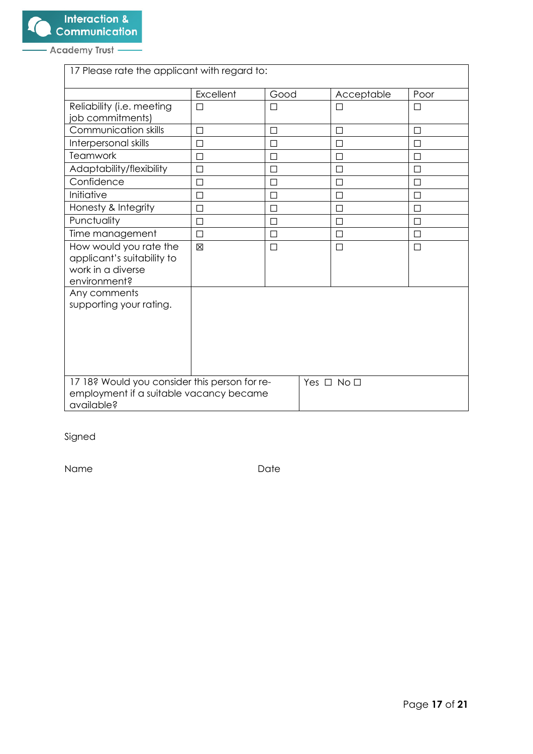| 17 Please rate the applicant with regard to:                                                                         |           |        |  |            |              |
|----------------------------------------------------------------------------------------------------------------------|-----------|--------|--|------------|--------------|
|                                                                                                                      | Excellent | Good   |  | Acceptable | Poor         |
| Reliability (i.e. meeting<br>job commitments)                                                                        | П         | П      |  | $\perp$    | ΙI           |
| Communication skills                                                                                                 | П         | □      |  | П          | П            |
| Interpersonal skills                                                                                                 | П         | □      |  | П          | ΙI           |
| <b>Teamwork</b>                                                                                                      | П         | $\Box$ |  | $\Box$     | П            |
| Adaptability/flexibility                                                                                             | П         | □      |  | П          | П            |
| Confidence                                                                                                           | П         | П      |  | П          | П            |
| Initiative                                                                                                           | П         | □      |  | П          | $\mathsf{L}$ |
| Honesty & Integrity                                                                                                  | П         | □      |  | П          | ΙI           |
| Punctuality                                                                                                          | □         | $\Box$ |  | □          | П            |
| Time management                                                                                                      | П         | П      |  | $\Box$     | П            |
| How would you rate the<br>applicant's suitability to<br>work in a diverse<br>environment?                            | ⊠         | $\Box$ |  | $\Box$     | □            |
| Any comments<br>supporting your rating.                                                                              |           |        |  |            |              |
| 17 18? Would you consider this person for re-<br>Yes □ No □<br>employment if a suitable vacancy became<br>available? |           |        |  |            |              |

Signed

Name Date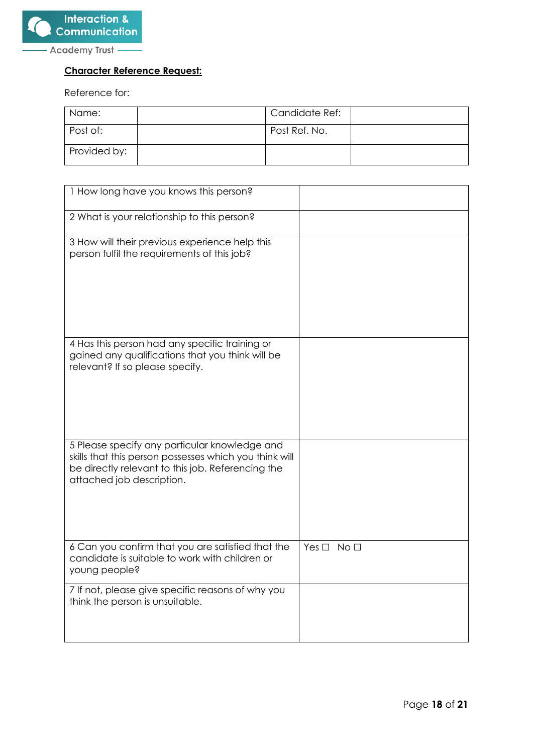

# **Character Reference Request:**

Reference for:

| Name:        | Candidate Ref: |  |
|--------------|----------------|--|
| Post of:     | Post Ref. No.  |  |
| Provided by: |                |  |

| 1 How long have you knows this person?                                                                                                                                                    |                            |
|-------------------------------------------------------------------------------------------------------------------------------------------------------------------------------------------|----------------------------|
| 2 What is your relationship to this person?                                                                                                                                               |                            |
| 3 How will their previous experience help this<br>person fulfil the requirements of this job?                                                                                             |                            |
| 4 Has this person had any specific training or<br>gained any qualifications that you think will be<br>relevant? If so please specify.                                                     |                            |
| 5 Please specify any particular knowledge and<br>skills that this person possesses which you think will<br>be directly relevant to this job. Referencing the<br>attached job description. |                            |
| 6 Can you confirm that you are satisfied that the<br>candidate is suitable to work with children or<br>young people?                                                                      | Yes $\square$ No $\square$ |
| 7 If not, please give specific reasons of why you<br>think the person is unsuitable.                                                                                                      |                            |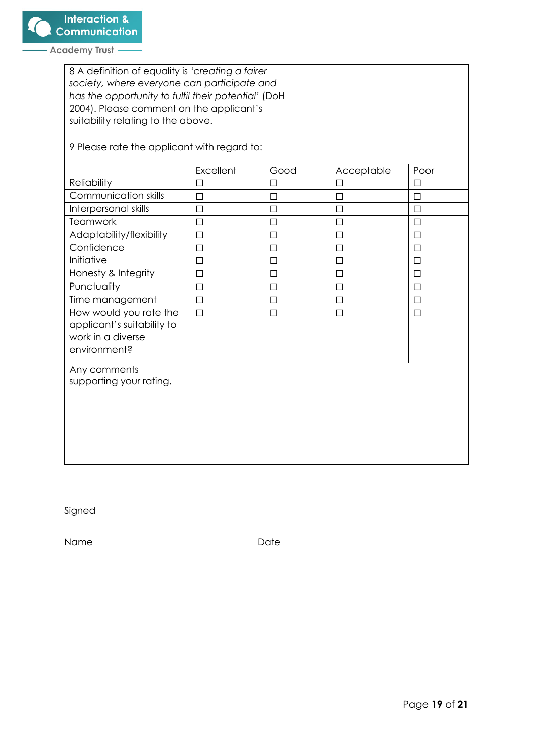| 8 A definition of equality is 'creating a fairer<br>society, where everyone can participate and<br>has the opportunity to fulfil their potential' (DoH<br>2004). Please comment on the applicant's<br>suitability relating to the above. |           |        |  |            |        |
|------------------------------------------------------------------------------------------------------------------------------------------------------------------------------------------------------------------------------------------|-----------|--------|--|------------|--------|
| 9 Please rate the applicant with regard to:                                                                                                                                                                                              |           |        |  |            |        |
|                                                                                                                                                                                                                                          | Excellent | Good   |  | Acceptable | Poor   |
| Reliability                                                                                                                                                                                                                              | □         | $\Box$ |  | $\Box$     | П      |
| Communication skills                                                                                                                                                                                                                     | П         | □      |  | П          | ΙI     |
| Interpersonal skills                                                                                                                                                                                                                     | П         | П      |  | П          | П      |
| <b>Teamwork</b>                                                                                                                                                                                                                          | $\Box$    | $\Box$ |  | П          | П      |
| Adaptability/flexibility                                                                                                                                                                                                                 | $\Box$    | $\Box$ |  | П          | П      |
| Confidence                                                                                                                                                                                                                               | □         | $\Box$ |  | $\Box$     | □      |
| Initiative                                                                                                                                                                                                                               | $\Box$    | □      |  | $\Box$     | $\Box$ |
| Honesty & Integrity                                                                                                                                                                                                                      | □         | $\Box$ |  | $\Box$     | ⊔      |
| Punctuality                                                                                                                                                                                                                              | □         | $\Box$ |  | $\Box$     | $\Box$ |
| Time management                                                                                                                                                                                                                          | □         | $\Box$ |  | $\Box$     | □      |
| How would you rate the<br>applicant's suitability to<br>work in a diverse<br>environment?                                                                                                                                                | $\Box$    | $\Box$ |  | $\Box$     | $\Box$ |
| Any comments<br>supporting your rating.                                                                                                                                                                                                  |           |        |  |            |        |

Signed

Name Date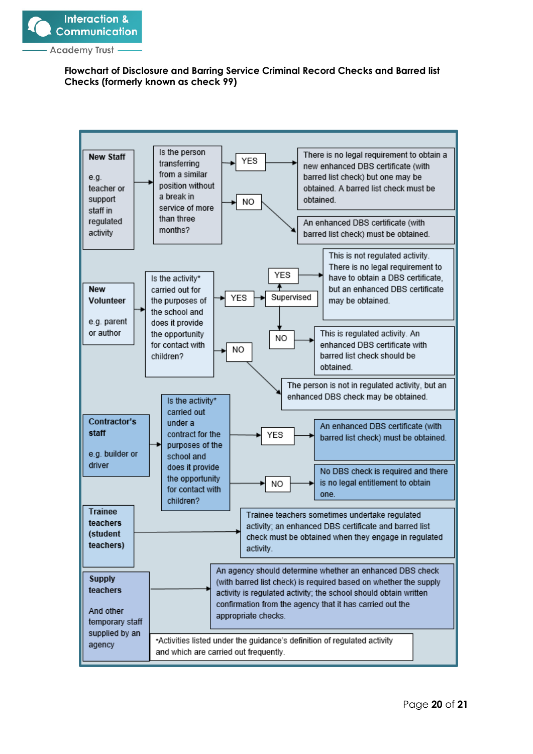

# **Flowchart of Disclosure and Barring Service Criminal Record Checks and Barred list Checks (formerly known as check 99)**